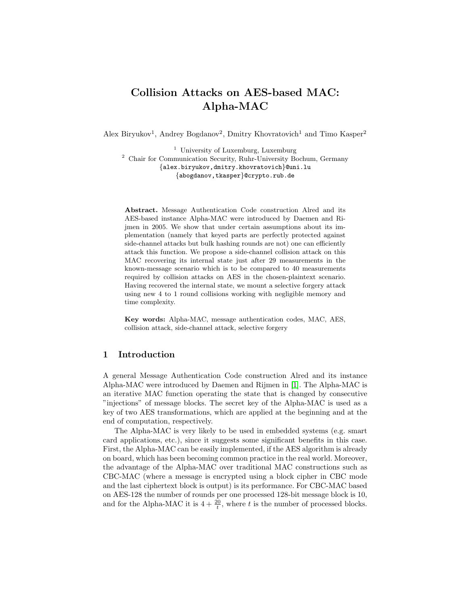# Collision Attacks on AES-based MAC: Alpha-MAC

Alex Biryukov<sup>1</sup>, Andrey Bogdanov<sup>2</sup>, Dmitry Khovratovich<sup>1</sup> and Timo Kasper<sup>2</sup>

<sup>1</sup> University of Luxemburg, Luxemburg <sup>2</sup> Chair for Communication Security, Ruhr-University Bochum, Germany {alex.biryukov,dmitry.khovratovich}@uni.lu {abogdanov,tkasper}@crypto.rub.de

Abstract. Message Authentication Code construction Alred and its AES-based instance Alpha-MAC were introduced by Daemen and Rijmen in 2005. We show that under certain assumptions about its implementation (namely that keyed parts are perfectly protected against side-channel attacks but bulk hashing rounds are not) one can efficiently attack this function. We propose a side-channel collision attack on this MAC recovering its internal state just after 29 measurements in the known-message scenario which is to be compared to 40 measurements required by collision attacks on AES in the chosen-plaintext scenario. Having recovered the internal state, we mount a selective forgery attack using new 4 to 1 round collisions working with negligible memory and time complexity.

Key words: Alpha-MAC, message authentication codes, MAC, AES, collision attack, side-channel attack, selective forgery

## 1 Introduction

A general Message Authentication Code construction Alred and its instance Alpha-MAC were introduced by Daemen and Rijmen in [\[1\]](#page-14-0). The Alpha-MAC is an iterative MAC function operating the state that is changed by consecutive "injections" of message blocks. The secret key of the Alpha-MAC is used as a key of two AES transformations, which are applied at the beginning and at the end of computation, respectively.

The Alpha-MAC is very likely to be used in embedded systems (e.g. smart card applications, etc.), since it suggests some significant benefits in this case. First, the Alpha-MAC can be easily implemented, if the AES algorithm is already on board, which has been becoming common practice in the real world. Moreover, the advantage of the Alpha-MAC over traditional MAC constructions such as CBC-MAC (where a message is encrypted using a block cipher in CBC mode and the last ciphertext block is output) is its performance. For CBC-MAC based on AES-128 the number of rounds per one processed 128-bit message block is 10, and for the Alpha-MAC it is  $4 + \frac{20}{t}$ , where t is the number of processed blocks.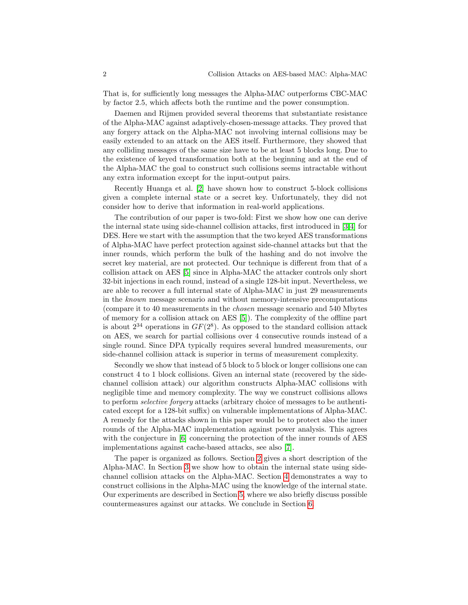That is, for sufficiently long messages the Alpha-MAC outperforms CBC-MAC by factor 2.5, which affects both the runtime and the power consumption.

Daemen and Rijmen provided several theorems that substantiate resistance of the Alpha-MAC against adaptively-chosen-message attacks. They proved that any forgery attack on the Alpha-MAC not involving internal collisions may be easily extended to an attack on the AES itself. Furthermore, they showed that any colliding messages of the same size have to be at least 5 blocks long. Due to the existence of keyed transformation both at the beginning and at the end of the Alpha-MAC the goal to construct such collisions seems intractable without any extra information except for the input-output pairs.

Recently Huanga et al. [\[2\]](#page-14-1) have shown how to construct 5-block collisions given a complete internal state or a secret key. Unfortunately, they did not consider how to derive that information in real-world applications.

The contribution of our paper is two-fold: First we show how one can derive the internal state using side-channel collision attacks, first introduced in [\[3](#page-14-2)[,4\]](#page-14-3) for DES. Here we start with the assumption that the two keyed AES transformations of Alpha-MAC have perfect protection against side-channel attacks but that the inner rounds, which perform the bulk of the hashing and do not involve the secret key material, are not protected. Our technique is different from that of a collision attack on AES [\[5\]](#page-14-4) since in Alpha-MAC the attacker controls only short 32-bit injections in each round, instead of a single 128-bit input. Nevertheless, we are able to recover a full internal state of Alpha-MAC in just 29 measurements in the known message scenario and without memory-intensive precomputations (compare it to 40 measurements in the chosen message scenario and 540 Mbytes of memory for a collision attack on AES [\[5\]](#page-14-4)). The complexity of the offline part is about  $2^{34}$  operations in  $GF(2^8)$ . As opposed to the standard collision attack on AES, we search for partial collisions over 4 consecutive rounds instead of a single round. Since DPA typically requires several hundred measurements, our side-channel collision attack is superior in terms of measurement complexity.

Secondly we show that instead of 5 block to 5 block or longer collisions one can construct 4 to 1 block collisions. Given an internal state (recovered by the sidechannel collision attack) our algorithm constructs Alpha-MAC collisions with negligible time and memory complexity. The way we construct collisions allows to perform selective forgery attacks (arbitrary choice of messages to be authenticated except for a 128-bit suffix) on vulnerable implementations of Alpha-MAC. A remedy for the attacks shown in this paper would be to protect also the inner rounds of the Alpha-MAC implementation against power analysis. This agrees with the conjecture in [\[6\]](#page-14-5) concerning the protection of the inner rounds of AES implementations against cache-based attacks, see also [\[7\]](#page-14-6).

The paper is organized as follows. Section [2](#page-2-0) gives a short description of the Alpha-MAC. In Section [3](#page-2-1) we show how to obtain the internal state using sidechannel collision attacks on the Alpha-MAC. Section [4](#page-8-0) demonstrates a way to construct collisions in the Alpha-MAC using the knowledge of the internal state. Our experiments are described in Section [5,](#page-11-0) where we also briefly discuss possible countermeasures against our attacks. We conclude in Section [6.](#page-13-0)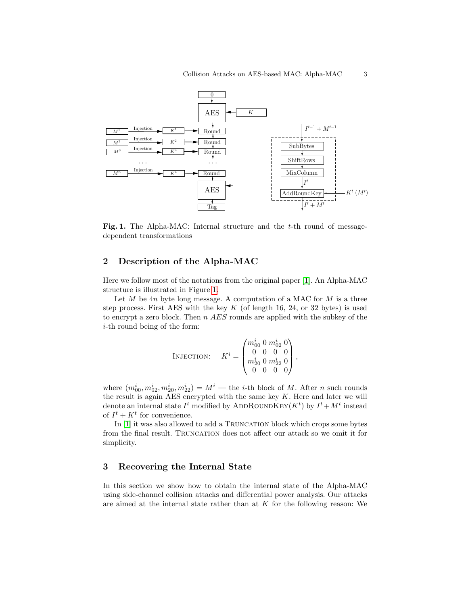

<span id="page-2-2"></span>Fig. 1. The Alpha-MAC: Internal structure and the  $t$ -th round of messagedependent transformations

## <span id="page-2-0"></span>2 Description of the Alpha-MAC

Here we follow most of the notations from the original paper [\[1\]](#page-14-0). An Alpha-MAC structure is illustrated in Figure [1.](#page-2-2)

Let  $M$  be  $4n$  byte long message. A computation of a MAC for  $M$  is a three step process. First AES with the key  $K$  (of length 16, 24, or 32 bytes) is used to encrypt a zero block. Then n AES rounds are applied with the subkey of the i-th round being of the form:

$$
\text{INJECTION:} \quad K^i = \begin{pmatrix} m^i_{00}~0~m^i_{02}~0 \\ 0~0~0~0\\ m^i_{20}~0~m^i_{22}~0 \\ 0~0~0~0 \end{pmatrix},
$$

where  $(m_{00}^i, m_{02}^i, m_{20}^i, m_{22}^i) = M^i$  — the *i*-th block of *M*. After *n* such rounds the result is again AES encrypted with the same key  $K$ . Here and later we will denote an internal state  $I^t$  modified by ADDROUNDKEY( $K^t$ ) by  $I^t + M^t$  instead of  $I^t + K^t$  for convenience.

In [\[1\]](#page-14-0) it was also allowed to add a TRUNCATION block which crops some bytes from the final result. TRUNCATION does not affect our attack so we omit it for simplicity.

## <span id="page-2-1"></span>3 Recovering the Internal State

In this section we show how to obtain the internal state of the Alpha-MAC using side-channel collision attacks and differential power analysis. Our attacks are aimed at the internal state rather than at  $K$  for the following reason: We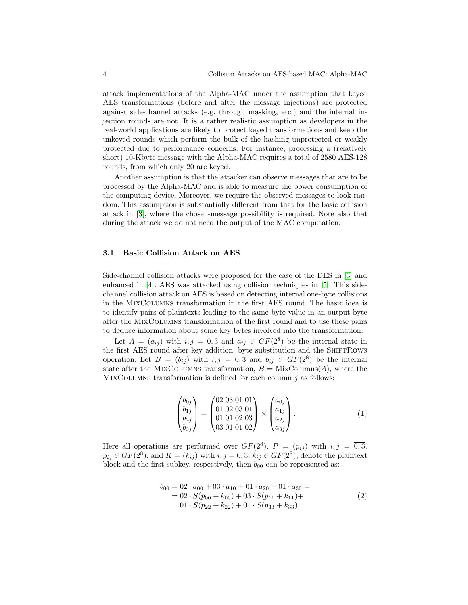attack implementations of the Alpha-MAC under the assumption that keyed AES transformations (before and after the message injections) are protected against side-channel attacks (e.g. through masking, etc.) and the internal injection rounds are not. It is a rather realistic assumption as developers in the real-world applications are likely to protect keyed transformations and keep the unkeyed rounds which perform the bulk of the hashing unprotected or weakly protected due to performance concerns. For instance, processing a (relatively short) 10-Kbyte message with the Alpha-MAC requires a total of 2580 AES-128 rounds, from which only 20 are keyed.

Another assumption is that the attacker can observe messages that are to be processed by the Alpha-MAC and is able to measure the power consumption of the computing device. Moreover, we require the observed messages to look random. This assumption is substantially different from that for the basic collision attack in [\[3\]](#page-14-2), where the chosen-message possibility is required. Note also that during the attack we do not need the output of the MAC computation.

#### 3.1 Basic Collision Attack on AES

Side-channel collision attacks were proposed for the case of the DES in [\[3\]](#page-14-2) and enhanced in [\[4\]](#page-14-3). AES was attacked using collision techniques in [\[5\]](#page-14-4). This sidechannel collision attack on AES is based on detecting internal one-byte collisions in the MixColumns transformation in the first AES round. The basic idea is to identify pairs of plaintexts leading to the same byte value in an output byte after the MixColumns transformation of the first round and to use these pairs to deduce information about some key bytes involved into the transformation.

Let  $A = (a_{ij})$  with  $i, j = \overline{0,3}$  and  $a_{ij} \in GF(2^8)$  be the internal state in the first AES round after key addition, byte substitution and the SHIFTROWS operation. Let  $B = (b_{ij})$  with  $i, j = \overline{0,3}$  and  $b_{ij} \in GF(2^8)$  be the internal state after the MIXCOLUMNS transformation,  $B = \text{MixColumns}(A)$ , where the MIXCOLUMNS transformation is defined for each column  $j$  as follows:

$$
\begin{pmatrix} b_{0j} \\ b_{1j} \\ b_{2j} \\ b_{3j} \end{pmatrix} = \begin{pmatrix} 02 & 03 & 01 & 01 \\ 01 & 02 & 03 & 01 \\ 01 & 01 & 02 & 03 \\ 03 & 01 & 01 & 02 \end{pmatrix} \times \begin{pmatrix} a_{0j} \\ a_{1j} \\ a_{2j} \\ a_{3j} \end{pmatrix}.
$$
 (1)

Here all operations are performed over  $GF(2^8)$ .  $P = (p_{ij})$  with  $i, j = \overline{0,3}$ ,  $p_{ij} \in GF(2^8)$ , and  $K = (k_{ij})$  with  $i, j = \overline{0,3}, k_{ij} \in GF(2^8)$ , denote the plaintext block and the first subkey, respectively, then  $b_{00}$  can be represented as:

$$
b_{00} = 02 \cdot a_{00} + 03 \cdot a_{10} + 01 \cdot a_{20} + 01 \cdot a_{30} =
$$
  
= 02 \cdot S(p\_{00} + k\_{00}) + 03 \cdot S(p\_{11} + k\_{11}) +  
01 \cdot S(p\_{22} + k\_{22}) + 01 \cdot S(p\_{33} + k\_{33}). (2)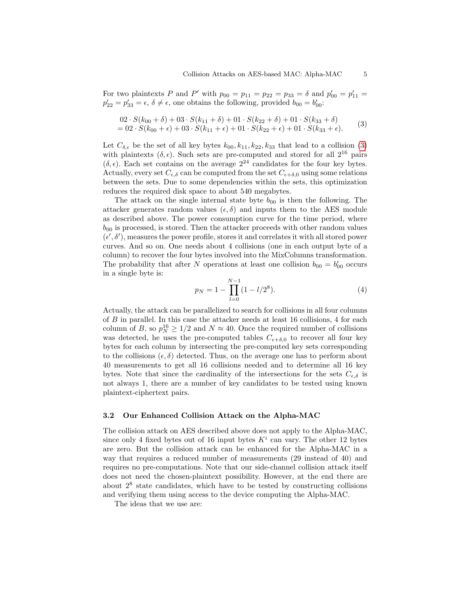For two plaintexts P and P' with  $p_{00} = p_{11} = p_{22} = p_{33} = \delta$  and  $p'_{00} = p'_{11} =$  $p'_{22} = p'_{33} = \epsilon, \delta \neq \epsilon$ , one obtains the following, provided  $b_{00} = b'_{00}$ :

<span id="page-4-0"></span>
$$
02 \cdot S(k_{00} + \delta) + 03 \cdot S(k_{11} + \delta) + 01 \cdot S(k_{22} + \delta) + 01 \cdot S(k_{33} + \delta)
$$
  
= 02 \cdot S(k\_{00} + \epsilon) + 03 \cdot S(k\_{11} + \epsilon) + 01 \cdot S(k\_{22} + \epsilon) + 01 \cdot S(k\_{33} + \epsilon). (3)

Let  $C_{\delta,\epsilon}$  be the set of all key bytes  $k_{00}, k_{11}, k_{22}, k_{33}$  that lead to a collision [\(3\)](#page-4-0) with plaintexts  $(\delta, \epsilon)$ . Such sets are pre-computed and stored for all  $2^{16}$  pairs  $(\delta, \epsilon)$ . Each set contains on the average  $2^{24}$  candidates for the four key bytes. Actually, every set  $C_{\epsilon,\delta}$  can be computed from the set  $C_{\epsilon+\delta,0}$  using some relations between the sets. Due to some dependencies within the sets, this optimization reduces the required disk space to about 540 megabytes.

The attack on the single internal state byte  $b_{00}$  is then the following. The attacker generates random values  $(\epsilon, \delta)$  and inputs them to the AES module as described above. The power consumption curve for the time period, where  $b_{00}$  is processed, is stored. Then the attacker proceeds with other random values  $(\epsilon', \delta')$ , measures the power profile, stores it and correlates it with all stored power curves. And so on. One needs about 4 collisions (one in each output byte of a column) to recover the four bytes involved into the MixColumns transformation. The probability that after N operations at least one collision  $b_{00} = b'_{00}$  occurs in a single byte is:

<span id="page-4-1"></span>
$$
p_N = 1 - \prod_{l=0}^{N-1} (1 - l/2^8).
$$
 (4)

Actually, the attack can be parallelized to search for collisions in all four columns of  $B$  in parallel. In this case the attacker needs at least 16 collisions, 4 for each column of B, so  $p_N^{16} \geq 1/2$  and  $N \approx 40$ . Once the required number of collisions was detected, he uses the pre-computed tables  $C_{\epsilon+\delta,0}$  to recover all four key bytes for each column by intersecting the pre-computed key sets corresponding to the collisions  $(\epsilon, \delta)$  detected. Thus, on the average one has to perform about 40 measurements to get all 16 collisions needed and to determine all 16 key bytes. Note that since the cardinality of the intersections for the sets  $C_{\epsilon,\delta}$  is not always 1, there are a number of key candidates to be tested using known plaintext-ciphertext pairs.

#### 3.2 Our Enhanced Collision Attack on the Alpha-MAC

The collision attack on AES described above does not apply to the Alpha-MAC, since only 4 fixed bytes out of 16 input bytes  $K^i$  can vary. The other 12 bytes are zero. But the collision attack can be enhanced for the Alpha-MAC in a way that requires a reduced number of measurements (29 instead of 40) and requires no pre-computations. Note that our side-channel collision attack itself does not need the chosen-plaintext possibility. However, at the end there are about  $2<sup>8</sup>$  state candidates, which have to be tested by constructing collisions and verifying them using access to the device computing the Alpha-MAC.

The ideas that we use are: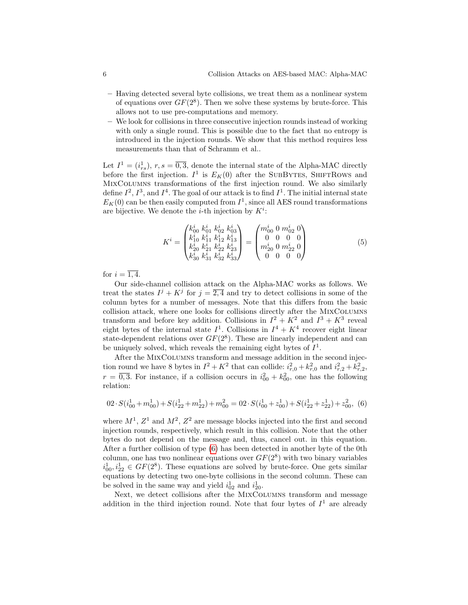- Having detected several byte collisions, we treat them as a nonlinear system of equations over  $GF(2^8)$ . Then we solve these systems by brute-force. This allows not to use pre-computations and memory.
- We look for collisions in three consecutive injection rounds instead of working with only a single round. This is possible due to the fact that no entropy is introduced in the injection rounds. We show that this method requires less measurements than that of Schramm et al..

Let  $I^1 = (i_{rs}^1), r, s = \overline{0,3}$ , denote the internal state of the Alpha-MAC directly before the first injection.  $I^1$  is  $E_K(0)$  after the SUBBYTES, SHIFTROWS and MixColumns transformations of the first injection round. We also similarly define  $I^2$ ,  $I^3$ , and  $I^4$ . The goal of our attack is to find  $I^1$ . The initial internal state  $E_K(0)$  can be then easily computed from  $I^1$ , since all AES round transformations are bijective. We denote the *i*-th injection by  $K^i$ :

$$
K^{i} = \begin{pmatrix} k_{00}^{i} & k_{01}^{i} & k_{02}^{i} & k_{03}^{i} \\ k_{10}^{i} & k_{11}^{i} & k_{12}^{i} & k_{13}^{i} \\ k_{20}^{i} & k_{21}^{i} & k_{22}^{i} & k_{23}^{i} \\ k_{30}^{i} & k_{31}^{i} & k_{32}^{i} & k_{33}^{i} \end{pmatrix} = \begin{pmatrix} m_{00}^{i} & 0 & m_{02}^{i} & 0 \\ 0 & 0 & m_{02}^{i} & 0 \\ m_{20}^{i} & 0 & m_{22}^{i} & 0 \\ 0 & 0 & 0 & 0 \end{pmatrix}
$$
(5)

for  $i=\overline{1,4}$ .

Our side-channel collision attack on the Alpha-MAC works as follows. We treat the states  $I^j + K^j$  for  $j = \overline{2, 4}$  and try to detect collisions in some of the column bytes for a number of messages. Note that this differs from the basic collision attack, where one looks for collisions directly after the MIXCOLUMNS transform and before key addition. Collisions in  $I^2 + K^2$  and  $I^3 + K^3$  reveal eight bytes of the internal state  $I^1$ . Collisions in  $I^4 + K^4$  recover eight linear state-dependent relations over  $GF(2^8)$ . These are linearly independent and can be uniquely solved, which reveals the remaining eight bytes of  $I^1$ .

After the MixColumns transform and message addition in the second injection round we have 8 bytes in  $I^2 + K^2$  that can collide:  $i_{r,0}^2 + k_{r,0}^2$  and  $i_{r,2}^2 + k_{r,2}^2$ ,  $r = \overline{0, 3}$ . For instance, if a collision occurs in  $i_{00}^2 + k_{00}^2$ , one has the following relation:

<span id="page-5-0"></span>
$$
02 \cdot S(i_{00}^1 + m_{00}^1) + S(i_{22}^1 + m_{22}^1) + m_{00}^2 = 02 \cdot S(i_{00}^1 + z_{00}^1) + S(i_{22}^1 + z_{22}^1) + z_{00}^2
$$
 (6)

where  $M^1$ ,  $Z^1$  and  $M^2$ ,  $Z^2$  are message blocks injected into the first and second injection rounds, respectively, which result in this collision. Note that the other bytes do not depend on the message and, thus, cancel out. in this equation. After a further collision of type [\(6\)](#page-5-0) has been detected in another byte of the 0th column, one has two nonlinear equations over  $GF(2^8)$  with two binary variables  $i_{00}^1, i_{22}^1 \in GF(2^8)$ . These equations are solved by brute-force. One gets similar equations by detecting two one-byte collisions in the second column. These can be solved in the same way and yield  $i_{02}^1$  and  $i_{20}^1$ .

Next, we detect collisions after the MIXCOLUMNS transform and message addition in the third injection round. Note that four bytes of  $I^1$  are already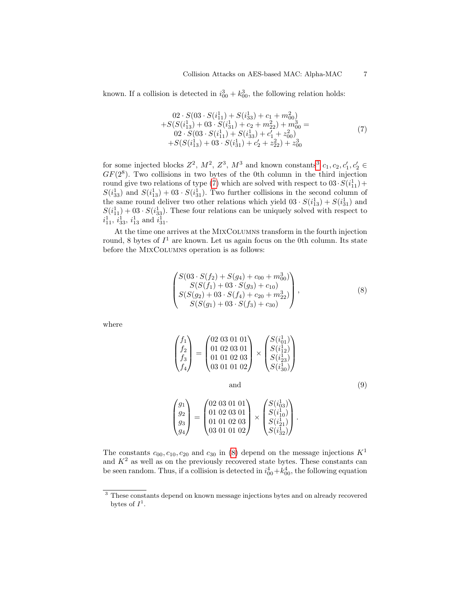known. If a collision is detected in  $i_{00}^3 + k_{00}^3$ , the following relation holds:

<span id="page-6-1"></span>
$$
02 \cdot S(03 \cdot S(i_{11}^1) + S(i_{33}^1) + c_1 + m_{00}^2)
$$
  
+
$$
S(S(i_{13}^1) + 03 \cdot S(i_{31}^1) + c_2 + m_{22}^2) + m_{00}^3 =
$$
  

$$
02 \cdot S(03 \cdot S(i_{11}^1) + S(i_{33}^1) + c_1' + z_{00}^2)
$$
  
+
$$
S(S(i_{13}^1) + 03 \cdot S(i_{31}^1) + c_2' + z_{22}^2) + z_{00}^3
$$
 (7)

for some injected blocks  $Z^2$ ,  $M^2$ ,  $Z^3$  $Z^3$ ,  $M^3$  and known constants<sup>3</sup>  $c_1$ ,  $c_2$ ,  $c'_1$ ,  $c'_2$   $\in$  $GF(2^8)$ . Two collisions in two bytes of the 0th column in the third injection round give two relations of type [\(7\)](#page-6-1) which are solved with respect to  $03 \cdot S(i_{11}^1) +$  $S(i_{33}^1)$  and  $S(i_{13}^1) + 03 \cdot S(i_{31}^1)$ . Two further collisions in the second column of the same round deliver two other relations which yield  $03 \cdot S(i_{13}^1) + S(i_{31}^1)$  and  $S(i_{11}^1) + 03 \cdot S(i_{33}^1)$ . These four relations can be uniquely solved with respect to  $i_{11}^1$ ,  $i_{33}^1$ ,  $i_{13}^1$  and  $i_{31}^1$ .

At the time one arrives at the MixColumns transform in the fourth injection round, 8 bytes of  $I^1$  are known. Let us again focus on the 0th column. Its state before the MixColumns operation is as follows:

<span id="page-6-2"></span>
$$
\begin{pmatrix}\nS(03 \cdot S(f_2) + S(g_4) + c_{00} + m_{00}^3) \\
S(S(f_1) + 03 \cdot S(g_3) + c_{10}) \\
S(S(g_2) + 03 \cdot S(f_4) + c_{20} + m_{22}^3) \\
S(S(g_1) + 03 \cdot S(f_3) + c_{30})\n\end{pmatrix},
$$
\n(8)

where

<span id="page-6-3"></span>
$$
\begin{pmatrix} f_1 \\ f_2 \\ f_3 \\ f_4 \end{pmatrix} = \begin{pmatrix} 02 & 03 & 01 & 01 \\ 01 & 02 & 03 & 01 \\ 01 & 01 & 02 & 03 \\ 03 & 01 & 01 & 02 \end{pmatrix} \times \begin{pmatrix} S(i_{11}^1) \\ S(i_{12}^1) \\ S(i_{23}^1) \\ S(i_{30}^1) \end{pmatrix}
$$
  
and  

$$
\begin{pmatrix} g_1 \\ g_2 \\ g_3 \\ g_4 \end{pmatrix} = \begin{pmatrix} 02 & 03 & 01 & 01 \\ 01 & 02 & 03 & 01 \\ 01 & 01 & 02 & 03 \\ 03 & 01 & 01 & 02 \end{pmatrix} \times \begin{pmatrix} S(i_{03}^1) \\ S(i_{10}^1) \\ S(i_{21}^1) \\ S(i_{32}^1) \end{pmatrix}.
$$
  
(9)

 $S(i_{32}^1)$ 

The constants  $c_{00}, c_{10}, c_{20}$  and  $c_{30}$  in [\(8\)](#page-6-2) depend on the message injections  $K^1$ and  $K^2$  as well as on the previously recovered state bytes. These constants can be seen random. Thus, if a collision is detected in  $i_{00}^4 + k_{00}^4$ , the following equation

<span id="page-6-0"></span><sup>&</sup>lt;sup>3</sup> These constants depend on known message injections bytes and on already recovered bytes of  $I^1$ .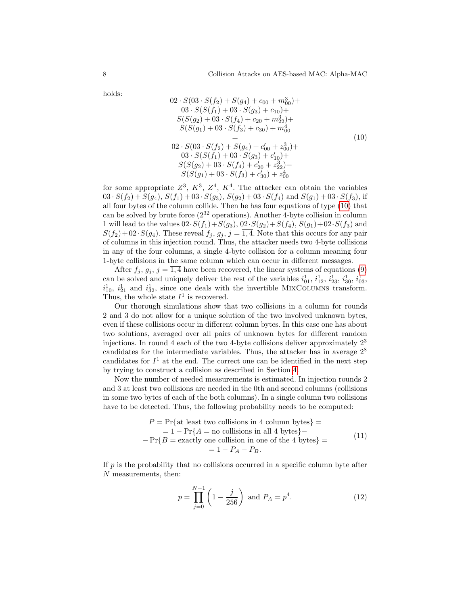$2 \times$ 

holds:

<span id="page-7-0"></span>
$$
02 \cdot S(03 \cdot S(f_2) + S(g_4) + c_{00} + m_{00}^3) +\n03 \cdot S(S(f_1) + 03 \cdot S(g_3) + c_{10}) +\nS(S(g_2) + 03 \cdot S(f_4) + c_{20} + m_{22}^3) +\nS(S(g_1) + 03 \cdot S(f_3) + c_{30}) + m_{00}^4\n=\n02 \cdot S(03 \cdot S(f_2) + S(g_4) + c'_{00} + z_{00}^3) +\n03 \cdot S(S(f_1) + 03 \cdot S(g_3) + c'_{10}) +\nS(S(g_2) + 03 \cdot S(f_4) + c'_{20} + z_{22}^3) +\nS(S(g_1) + 03 \cdot S(f_3) + c'_{30}) + z_{00}^4
$$
\n(10)

for some appropriate  $Z^3$ ,  $K^3$ ,  $Z^4$ ,  $K^4$ . The attacker can obtain the variables  $03 S(S(f_2) + S(g_4), S(f_1) + 03 S(g_3), S(g_2) + 03 S(f_4)$  and  $S(g_1) + 03 S(f_3)$ , if all four bytes of the column collide. Then he has four equations of type [\(10\)](#page-7-0) that can be solved by brute force  $(2^{32}$  operations). Another 4-byte collision in column 1 will lead to the values  $02\cdot S(f_1)+S(g_3), 02\cdot S(g_2)+S(f_4), S(g_1)+02\cdot S(f_3)$  and  $S(f_2)+02\cdot S(g_4)$ . These reveal  $f_i, g_j, j=\overline{1,4}$ . Note that this occurs for any pair of columns in this injection round. Thus, the attacker needs two 4-byte collisions in any of the four columns, a single 4-byte collision for a column meaning four 1-byte collisions in the same column which can occur in different messages.

After  $f_i, g_j, j = \overline{1, 4}$  have been recovered, the linear systems of equations [\(9\)](#page-6-3) can be solved and uniquely deliver the rest of the variables  $i_{01}^1$ ,  $i_{12}^1$ ,  $i_{23}^1$ ,  $i_{30}^1$ ,  $i_{03}^1$ ,  $i_{10}^1$ ,  $i_{21}^1$  and  $i_{32}^1$ , since one deals with the invertible MIXCOLUMNS transform. Thus, the whole state  $I^1$  is recovered.

Our thorough simulations show that two collisions in a column for rounds 2 and 3 do not allow for a unique solution of the two involved unknown bytes, even if these collisions occur in different column bytes. In this case one has about two solutions, averaged over all pairs of unknown bytes for different random injections. In round 4 each of the two 4-byte collisions deliver approximately  $2<sup>3</sup>$ candidates for the intermediate variables. Thus, the attacker has in average 2<sup>8</sup> candidates for  $I^1$  at the end. The correct one can be identified in the next step by trying to construct a collision as described in Section [4.](#page-8-0)

Now the number of needed measurements is estimated. In injection rounds 2 and 3 at least two collisions are needed in the 0th and second columns (collisions in some two bytes of each of the both columns). In a single column two collisions have to be detected. Thus, the following probability needs to be computed:

$$
P = \Pr\{\text{at least two collisions in 4 column bytes}\} =
$$
  
= 1 - \Pr{A = no collisions in all 4 bytes} -  
- \Pr{B = exactly one collision in one of the 4 bytes} =  
= 1 - P<sub>A</sub> - P<sub>B</sub>. (11)

If  $p$  is the probability that no collisions occurred in a specific column byte after N measurements, then:

$$
p = \prod_{j=0}^{N-1} \left( 1 - \frac{j}{256} \right) \text{ and } P_A = p^4. \tag{12}
$$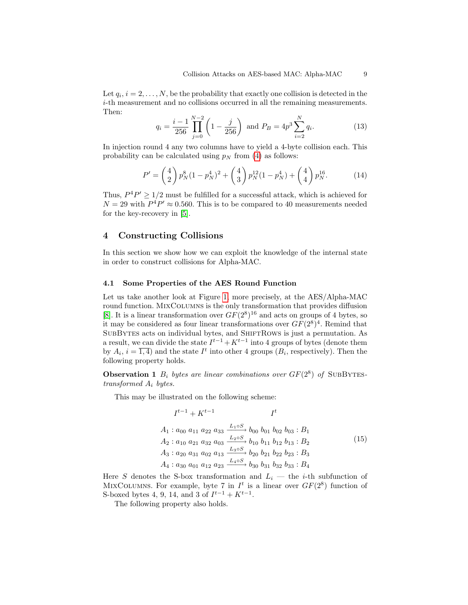Let  $q_i$ ,  $i = 2, \ldots, N$ , be the probability that exactly one collision is detected in the i-th measurement and no collisions occurred in all the remaining measurements. Then:

$$
q_i = \frac{i-1}{256} \prod_{j=0}^{N-2} \left( 1 - \frac{j}{256} \right) \text{ and } P_B = 4p^3 \sum_{i=2}^{N} q_i. \tag{13}
$$

In injection round 4 any two columns have to yield a 4-byte collision each. This probability can be calculated using  $p<sub>N</sub>$  from [\(4\)](#page-4-1) as follows:

$$
P' = \binom{4}{2} p_N^8 (1 - p_N^4)^2 + \binom{4}{3} p_N^{12} (1 - p_N^4) + \binom{4}{4} p_N^{16}.
$$
 (14)

Thus,  $P^4P' \geq 1/2$  must be fulfilled for a successful attack, which is achieved for  $N = 29$  with  $P^4P' \approx 0.560$ . This is to be compared to 40 measurements needed for the key-recovery in [\[5\]](#page-14-4).

## <span id="page-8-0"></span>4 Constructing Collisions

In this section we show how we can exploit the knowledge of the internal state in order to construct collisions for Alpha-MAC.

## 4.1 Some Properties of the AES Round Function

Let us take another look at Figure [1,](#page-2-2) more precisely, at the AES/Alpha-MAC round function. MixColumns is the only transformation that provides diffusion [\[8\]](#page-14-7). It is a linear transformation over  $GF(2^8)^{16}$  and acts on groups of 4 bytes, so it may be considered as four linear transformations over  $GF(2^8)^4$ . Remind that SUBBYTES acts on individual bytes, and SHIFTROWS is just a permutation. As a result, we can divide the state  $I^{t-1} + K^{t-1}$  into 4 groups of bytes (denote them by  $A_i$ ,  $i = \overline{1, 4}$  and the state  $I^t$  into other 4 groups  $(B_i)$ , respectively). Then the following property holds.

**Observation 1**  $B_i$  bytes are linear combinations over  $GF(2^8)$  of SUBBYTEStransformed  $A_i$  bytes.

This may be illustrated on the following scheme:

<span id="page-8-2"></span><span id="page-8-1"></span>
$$
I^{t-1} + K^{t-1} \t I^t
$$
  
\n
$$
A_1: a_{00} \ a_{11} \ a_{22} \ a_{33} \xrightarrow{L_1 \circ S} b_{00} \ b_{01} \ b_{02} \ b_{03} : B_1
$$
  
\n
$$
A_2: a_{10} \ a_{21} \ a_{32} \ a_{03} \xrightarrow{L_2 \circ S} b_{10} \ b_{11} \ b_{12} \ b_{13} : B_2
$$
  
\n
$$
A_3: a_{20} \ a_{31} \ a_{02} \ a_{13} \xrightarrow{L_3 \circ S} b_{20} \ b_{21} \ b_{22} \ b_{23} : B_3
$$
  
\n
$$
A_4: a_{30} \ a_{01} \ a_{12} \ a_{23} \xrightarrow{L_4 \circ S} b_{30} \ b_{31} \ b_{32} \ b_{33} : B_4
$$
  
\n
$$
(15)
$$

Here S denotes the S-box transformation and  $L_i$  — the *i*-th subfunction of MIXCOLUMNS. For example, byte 7 in  $I^t$  is a linear over  $GF(2^8)$  function of S-boxed bytes 4, 9, 14, and 3 of  $I^{t-1} + K^{t-1}$ .

The following property also holds.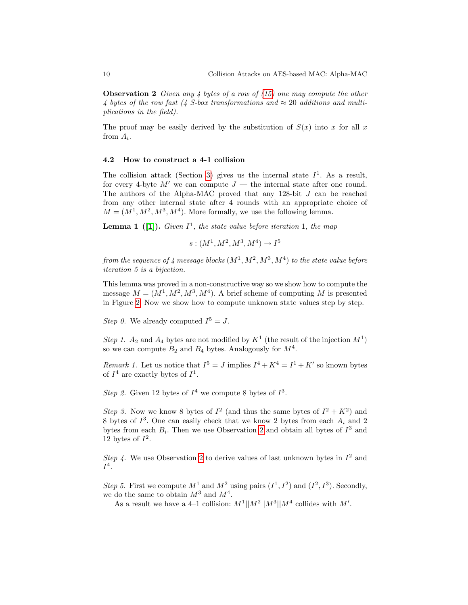**Observation 2** Given any 4 bytes of a row of  $(15)$  one may compute the other 4 bytes of the row fast (4 S-box transformations and  $\approx$  20 additions and multiplications in the field).

The proof may be easily derived by the substitution of  $S(x)$  into x for all x from  $A_i$ .

#### 4.2 How to construct a 4-1 collision

The collision attack (Section [3\)](#page-2-1) gives us the internal state  $I^1$ . As a result, for every 4-byte  $M'$  we can compute  $J$  — the internal state after one round. The authors of the Alpha-MAC proved that any 128-bit J can be reached from any other internal state after 4 rounds with an appropriate choice of  $M = (M^1, M^2, M^3, M^4)$ . More formally, we use the following lemma.

**Lemma 1** ([\[1\]](#page-14-0)). Given  $I^1$ , the state value before iteration 1, the map

 $s:(M^1,M^2,M^3,M^4)\to I^5$ 

from the sequence of 4 message blocks  $(M^1, M^2, M^3, M^4)$  to the state value before iteration 5 is a bijection.

This lemma was proved in a non-constructive way so we show how to compute the message  $M = (M^1, M^2, M^3, M^4)$ . A brief scheme of computing M is presented in Figure [2.](#page-10-0) Now we show how to compute unknown state values step by step.

Step 0. We already computed  $I^5 = J$ .

Step 1.  $A_2$  and  $A_4$  bytes are not modified by  $K^1$  (the result of the injection  $M^1$ ) so we can compute  $B_2$  and  $B_4$  bytes. Analogously for  $M^4$ .

<span id="page-9-0"></span>*Remark 1*. Let us notice that  $I^5 = J$  implies  $I^4 + K^4 = I^1 + K'$  so known bytes of  $I^4$  are exactly bytes of  $I^1$ .

Step 2. Given 12 bytes of  $I^4$  we compute 8 bytes of  $I^3$ .

Step 3. Now we know 8 bytes of  $I^2$  (and thus the same bytes of  $I^2 + K^2$ ) and 8 bytes of  $I^3$ . One can easily check that we know 2 bytes from each  $A_i$  and 2 bytes from each  $B_i$ . Then we use Observation [2](#page-8-2) and obtain all bytes of  $I^3$  and 12 bytes of  $I^2$ .

Step 4. We use Observation [2](#page-8-2) to derive values of last unknown bytes in  $I^2$  and  $I^4$ .

Step 5. First we compute  $M^1$  and  $M^2$  using pairs  $(I^1, I^2)$  and  $(I^2, I^3)$ . Secondly, we do the same to obtain  $M^3$  and  $M^4$ .

As a result we have a 4-1 collision:  $M^1||M^2||M^3||M^4$  collides with M'.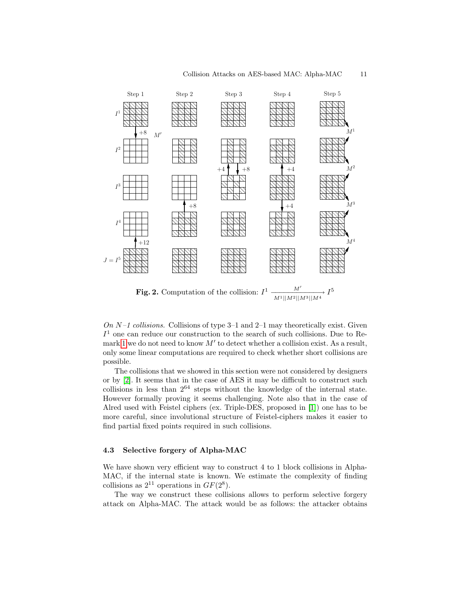

<span id="page-10-0"></span>On N-1 collisions. Collisions of type 3-1 and 2-1 may theoretically exist. Given  $I<sup>1</sup>$  one can reduce our construction to the search of such collisions. Due to Re-mark [1](#page-9-0) we do not need to know  $M'$  to detect whether a collision exist. As a result, only some linear computations are required to check whether short collisions are

The collisions that we showed in this section were not considered by designers or by [\[2\]](#page-14-1). It seems that in the case of AES it may be difficult to construct such collisions in less than  $2^{64}$  steps without the knowledge of the internal state. However formally proving it seems challenging. Note also that in the case of Alred used with Feistel ciphers (ex. Triple-DES, proposed in [\[1\]](#page-14-0)) one has to be more careful, since involutional structure of Feistel-ciphers makes it easier to find partial fixed points required in such collisions.

#### 4.3 Selective forgery of Alpha-MAC

possible.

We have shown very efficient way to construct 4 to 1 block collisions in Alpha-MAC, if the internal state is known. We estimate the complexity of finding collisions as  $2^{11}$  operations in  $GF(2^8)$ .

The way we construct these collisions allows to perform selective forgery attack on Alpha-MAC. The attack would be as follows: the attacker obtains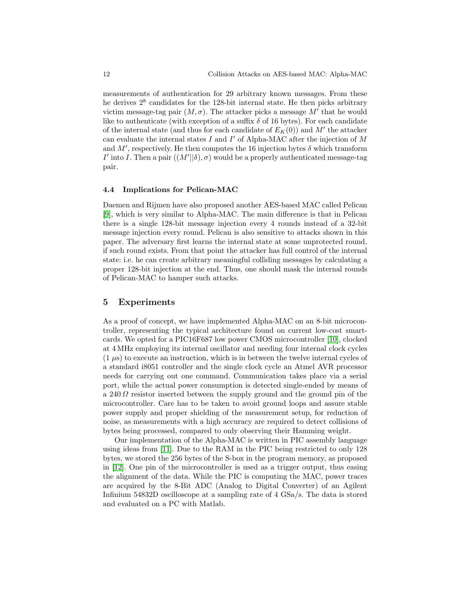measurements of authentication for 29 arbitrary known messages. From these he derives  $2^8$  candidates for the 128-bit internal state. He then picks arbitrary victim message-tag pair  $(M, \sigma)$ . The attacker picks a message M' that he would like to authenticate (with exception of a suffix  $\delta$  of 16 bytes). For each candidate of the internal state (and thus for each candidate of  $E_K(0)$ ) and  $M'$  the attacker can evaluate the internal states  $I$  and  $I'$  of Alpha-MAC after the injection of  $M$ and M', respectively. He then computes the 16 injection bytes  $\delta$  which transform I' into I. Then a pair  $((M'||\delta), \sigma)$  would be a properly authenticated message-tag pair.

#### 4.4 Implications for Pelican-MAC

Daemen and Rijmen have also proposed another AES-based MAC called Pelican [\[9\]](#page-14-8), which is very similar to Alpha-MAC. The main difference is that in Pelican there is a single 128-bit message injection every 4 rounds instead of a 32-bit message injection every round. Pelican is also sensitive to attacks shown in this paper. The adversary first learns the internal state at some unprotected round, if such round exists. From that point the attacker has full control of the internal state: i.e. he can create arbitrary meaningful colliding messages by calculating a proper 128-bit injection at the end. Thus, one should mask the internal rounds of Pelican-MAC to hamper such attacks.

## <span id="page-11-0"></span>5 Experiments

As a proof of concept, we have implemented Alpha-MAC on an 8-bit microcontroller, representing the typical architecture found on current low-cost smartcards. We opted for a PIC16F687 low power CMOS microcontroller [\[10\]](#page-14-9), clocked at 4 MHz employing its internal oscillator and needing four internal clock cycles  $(1 \mu s)$  to execute an instruction, which is in between the twelve internal cycles of a standard i8051 controller and the single clock cycle an Atmel AVR processor needs for carrying out one command. Communication takes place via a serial port, while the actual power consumption is detected single-ended by means of a 240 Ω resistor inserted between the supply ground and the ground pin of the microcontroller. Care has to be taken to avoid ground loops and assure stable power supply and proper shielding of the measurement setup, for reduction of noise, as measurements with a high accuracy are required to detect collisions of bytes being processed, compared to only observing their Hamming weight.

Our implementation of the Alpha-MAC is written in PIC assembly language using ideas from [\[11\]](#page-14-10). Due to the RAM in the PIC being restricted to only 128 bytes, we stored the 256 bytes of the S-box in the program memory, as proposed in [\[12\]](#page-14-11). One pin of the microcontroller is used as a trigger output, thus easing the alignment of the data. While the PIC is computing the MAC, power traces are acquired by the 8-Bit ADC (Analog to Digital Converter) of an Agilent Infinium 54832D oscilloscope at a sampling rate of 4 GSa/s. The data is stored and evaluated on a PC with Matlab.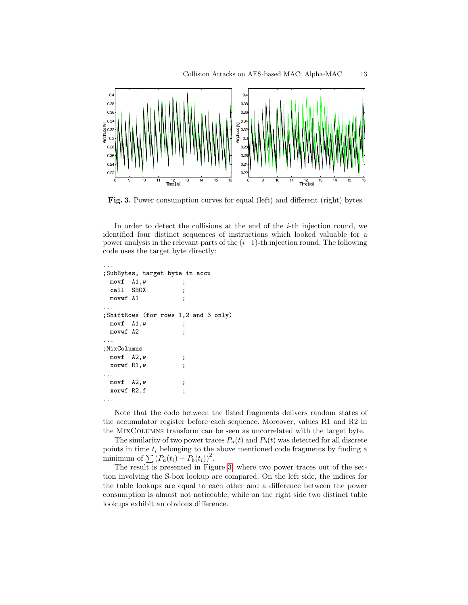

<span id="page-12-0"></span>Fig. 3. Power consumption curves for equal (left) and different (right) bytes

In order to detect the collisions at the end of the  $i$ -th injection round, we identified four distinct sequences of instructions which looked valuable for a power analysis in the relevant parts of the  $(i+1)$ -th injection round. The following code uses the target byte directly:

```
;SubBytes, target byte in accu
 movf A1,w ;
 call SBOX ;
 movwf A1 ;
...
;ShiftRows (for rows 1,2 and 3 only)
 movf A1, w ;
 movwf A2 ;
...
;MixColumns
 movf A2, w
 xorwf R1,w ;
...
 movf A2,w ;
 xorwf R2,f ;
...
```
...

Note that the code between the listed fragments delivers random states of the accumulator register before each sequence. Moreover, values R1 and R2 in the MixColumns transform can be seen as uncorrelated with the target byte.

The similarity of two power traces  $P_a(t)$  and  $P_b(t)$  was detected for all discrete points in time  $t_i$  belonging to the above mentioned code fragments by finding a minimum of  $\sum (P_a(t_i) - P_b(t_i))^2$ .

The result is presented in Figure [3,](#page-12-0) where two power traces out of the section involving the S-box lookup are compared. On the left side, the indices for the table lookups are equal to each other and a difference between the power consumption is almost not noticeable, while on the right side two distinct table lookups exhibit an obvious difference.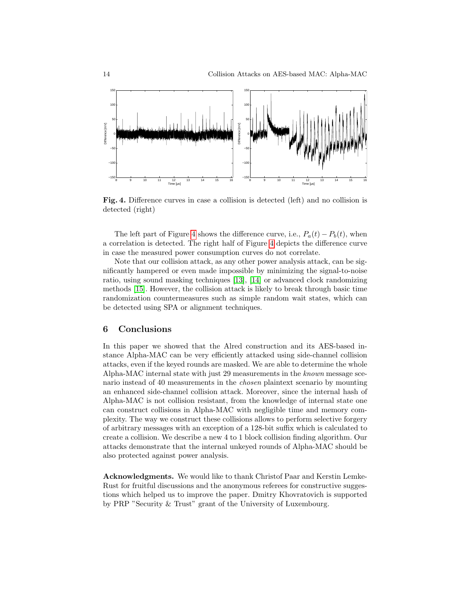

<span id="page-13-1"></span>Fig. 4. Difference curves in case a collision is detected (left) and no collision is detected (right)

The left part of Figure [4](#page-13-1) shows the difference curve, i.e.,  $P_a(t) - P_b(t)$ , when a correlation is detected. The right half of Figure [4](#page-13-1) depicts the difference curve in case the measured power consumption curves do not correlate.

Note that our collision attack, as any other power analysis attack, can be significantly hampered or even made impossible by minimizing the signal-to-noise ratio, using sound masking techniques [\[13\]](#page-14-12), [\[14\]](#page-14-13) or advanced clock randomizing methods [\[15\]](#page-14-14). However, the collision attack is likely to break through basic time randomization countermeasures such as simple random wait states, which can be detected using SPA or alignment techniques.

#### <span id="page-13-0"></span>6 Conclusions

In this paper we showed that the Alred construction and its AES-based instance Alpha-MAC can be very efficiently attacked using side-channel collision attacks, even if the keyed rounds are masked. We are able to determine the whole Alpha-MAC internal state with just 29 measurements in the known message scenario instead of 40 measurements in the chosen plaintext scenario by mounting an enhanced side-channel collision attack. Moreover, since the internal hash of Alpha-MAC is not collision resistant, from the knowledge of internal state one can construct collisions in Alpha-MAC with negligible time and memory complexity. The way we construct these collisions allows to perform selective forgery of arbitrary messages with an exception of a 128-bit suffix which is calculated to create a collision. We describe a new 4 to 1 block collision finding algorithm. Our attacks demonstrate that the internal unkeyed rounds of Alpha-MAC should be also protected against power analysis.

Acknowledgments. We would like to thank Christof Paar and Kerstin Lemke-Rust for fruitful discussions and the anonymous referees for constructive suggestions which helped us to improve the paper. Dmitry Khovratovich is supported by PRP "Security & Trust" grant of the University of Luxembourg.